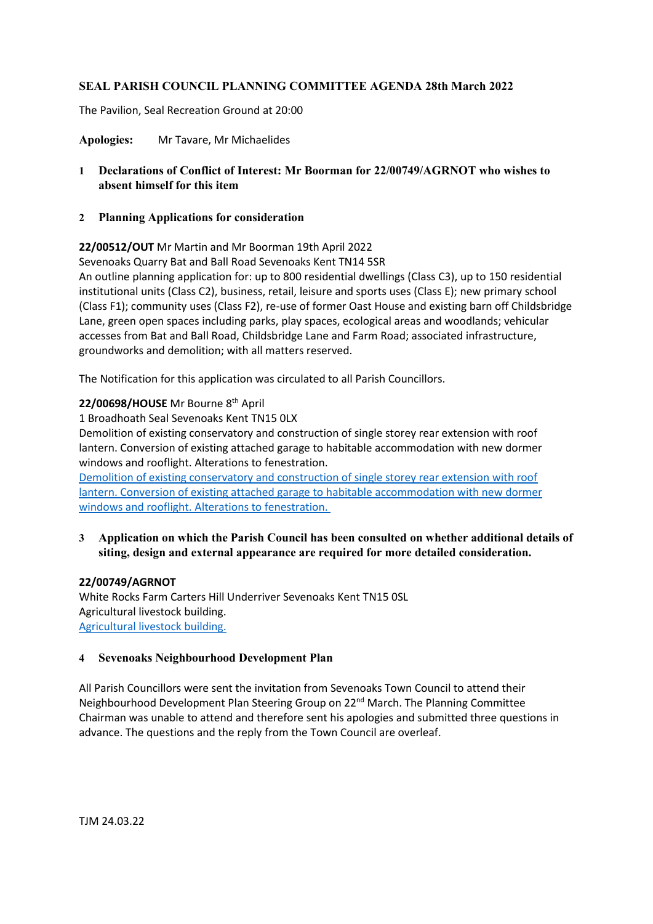## **SEAL PARISH COUNCIL PLANNING COMMITTEE AGENDA 28th March 2022**

The Pavilion, Seal Recreation Ground at 20:00

**Apologies:** Mr Tavare, Mr Michaelides

- **1 Declarations of Conflict of Interest: Mr Boorman for 22/00749/AGRNOT who wishes to absent himself for this item**
- **2 Planning Applications for consideration**

**22/00512/OUT** Mr Martin and Mr Boorman 19th April 2022

Sevenoaks Quarry Bat and Ball Road Sevenoaks Kent TN14 5SR

An outline planning application for: up to 800 residential dwellings (Class C3), up to 150 residential institutional units (Class C2), business, retail, leisure and sports uses (Class E); new primary school (Class F1); community uses (Class F2), re-use of former Oast House and existing barn off Childsbridge Lane, green open spaces including parks, play spaces, ecological areas and woodlands; vehicular accesses from Bat and Ball Road, Childsbridge Lane and Farm Road; associated infrastructure, groundworks and demolition; with all matters reserved.

The Notification for this application was circulated to all Parish Councillors.

**22/00698/HOUSE** Mr Bourne 8th April 1 Broadhoath Seal Sevenoaks Kent TN15 0LX Demolition of existing conservatory and construction of single storey rear extension with roof

lantern. Conversion of existing attached garage to habitable accommodation with new dormer windows and rooflight. Alterations to fenestration.

[Demolition of existing conservatory and construction of single storey rear extension with roof](https://pa.sevenoaks.gov.uk/online-applications/applicationDetails.do?keyVal=R8LBCFBKHWP00&activeTab=summary)  [lantern. Conversion of existing attached garage to habitable accommodation with new dormer](https://pa.sevenoaks.gov.uk/online-applications/applicationDetails.do?keyVal=R8LBCFBKHWP00&activeTab=summary)  [windows and rooflight. Alterations to fenestration.](https://pa.sevenoaks.gov.uk/online-applications/applicationDetails.do?keyVal=R8LBCFBKHWP00&activeTab=summary)

**3 Application on which the Parish Council has been consulted on whether additional details of siting, design and external appearance are required for more detailed consideration.**

## **22/00749/AGRNOT**

White Rocks Farm Carters Hill Underriver Sevenoaks Kent TN15 0SL Agricultural livestock building. [Agricultural livestock building.](https://pa.sevenoaks.gov.uk/online-applications/applicationDetails.do?keyVal=R8WF0FBKIEL00&activeTab=summary)

## **4 Sevenoaks Neighbourhood Development Plan**

All Parish Councillors were sent the invitation from Sevenoaks Town Council to attend their Neighbourhood Development Plan Steering Group on 22<sup>nd</sup> March. The Planning Committee Chairman was unable to attend and therefore sent his apologies and submitted three questions in advance. The questions and the reply from the Town Council are overleaf.